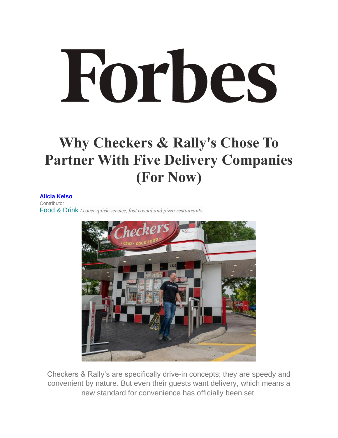## Forbes

## **Why Checkers & Rally's Chose To Partner With Five Delivery Companies (For Now)**

## **[Alicia Kelso](https://www.forbes.com/sites/aliciakelso/)**

**Contributor** [Food & Drink](https://www.forbes.com/food-drink) *I cover quick-service, fast casual and pizza restaurants.*



Checkers & Rally's are specifically drive-in concepts; they are speedy and convenient by nature. But even their guests want delivery, which means a new standard for convenience has officially been set.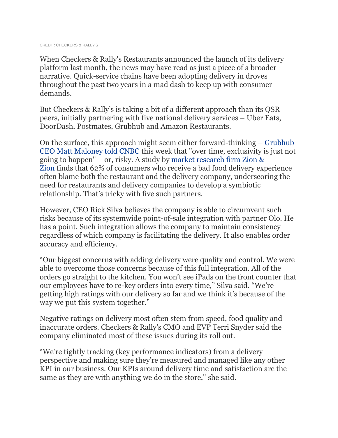When Checkers & Rally's Restaurants announced the launch of its delivery platform last month, the news may have read as just a piece of a broader narrative. Quick-service chains have been adopting delivery in droves throughout the past two years in a mad dash to keep up with consumer demands.

But Checkers & Rally's is taking a bit of a different approach than its QSR peers, initially partnering with five national delivery services – Uber Eats, DoorDash, Postmates, Grubhub and Amazon Restaurants.

On the surface, this approach might seem either forward-thinking – [Grubhub](https://www.cnbc.com/2019/04/04/grubhub-ceo-spending-aggressively-on-our-future-to-beat-competition.html)  [CEO Matt Maloney told CNBC](https://www.cnbc.com/2019/04/04/grubhub-ceo-spending-aggressively-on-our-future-to-beat-competition.html) this week that "over time, exclusivity is just not going to happen" – or, risky. A study by [market research firm Zion &](https://prnmedia.prnewswire.com/news-releases/zion--zion-study-examines-co-blame-in-the-restaurant-delivery-app-industry-300816276.html)  [Zion](https://prnmedia.prnewswire.com/news-releases/zion--zion-study-examines-co-blame-in-the-restaurant-delivery-app-industry-300816276.html) [f](https://www.zionandzion.com/research/co-blame-an-examination-of-shared-blame-in-the-restaurant-delivery-app-industry/)inds that 62% of consumers who receive a bad food delivery experience often blame both the restaurant and the delivery company, underscoring the need for restaurants and delivery companies to develop a symbiotic relationship. That's tricky with five such partners.

However, CEO Rick Silva believes the company is able to circumvent such risks because of its systemwide point-of-sale integration with partner Olo. He has a point. Such integration allows the company to maintain consistency regardless of which company is facilitating the delivery. It also enables order accuracy and efficiency.

"Our biggest concerns with adding delivery were quality and control. We were able to overcome those concerns because of this full integration. All of the orders go straight to the kitchen. You won't see iPads on the front counter that our employees have to re-key orders into every time," Silva said. "We're getting high ratings with our delivery so far and we think it's because of the way we put this system together."

Negative ratings on delivery most often stem from speed, food quality and inaccurate orders. Checkers & Rally's CMO and EVP Terri Snyder said the company eliminated most of these issues during its roll out.

"We're tightly tracking (key performance indicators) from a delivery perspective and making sure they're measured and managed like any other KPI in our business. Our KPIs around delivery time and satisfaction are the same as they are with anything we do in the store," she said.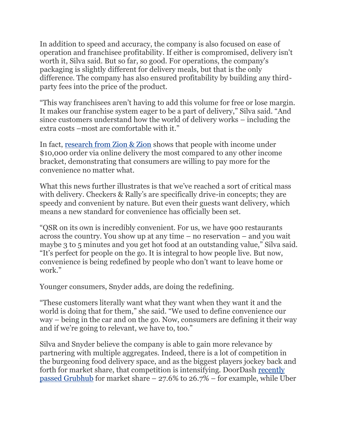In addition to speed and accuracy, the company is also focused on ease of operation and franchisee profitability. If either is compromised, delivery isn't worth it, Silva said. But so far, so good. For operations, the company's packaging is slightly different for delivery meals, but that is the only difference. The company has also ensured profitability by building any thirdparty fees into the price of the product.

"This way franchisees aren't having to add this volume for free or lose margin. It makes our franchise system eager to be a part of delivery," Silva said. "And since customers understand how the world of delivery works – including the extra costs –most are comfortable with it."

In fact, [research from Zion & Zion](https://www.restaurantdive.com/news/report-grubhub-is-the-most-used-delivery-app/545719/) shows that people with income under \$10,000 order via online delivery the most compared to any other income bracket, demonstrating that consumers are willing to pay more for the convenience no matter what.

What this news further illustrates is that we've reached a sort of critical mass with delivery. Checkers & Rally's are specifically drive-in concepts; they are speedy and convenient by nature. But even their guests want delivery, which means a new standard for convenience has officially been set.

"QSR on its own is incredibly convenient. For us, we have 900 restaurants across the country. You show up at any time – no reservation – and you wait maybe 3 to 5 minutes and you get hot food at an outstanding value," Silva said. "It's perfect for people on the go. It is integral to how people live. But now, convenience is being redefined by people who don't want to leave home or work."

Younger consumers, Snyder adds, are doing the redefining.

"These customers literally want what they want when they want it and the world is doing that for them," she said. "We used to define convenience our way – being in the car and on the go. Now, consumers are defining it their way and if we're going to relevant, we have to, too."

Silva and Snyder believe the company is able to gain more relevance by partnering with multiple aggregates. Indeed, there is a lot of competition in the burgeoning food delivery space, and as the biggest players jockey back and forth for market share, that competition is intensifying. DoorDash [recently](https://www.restaurantdive.com/news/doordash-overtakes-grubhub-in-delivery-market-share/550338/)  [passed Grubhub](https://www.restaurantdive.com/news/doordash-overtakes-grubhub-in-delivery-market-share/550338/) for market share – 27.6% to 26.7% – for example, while Uber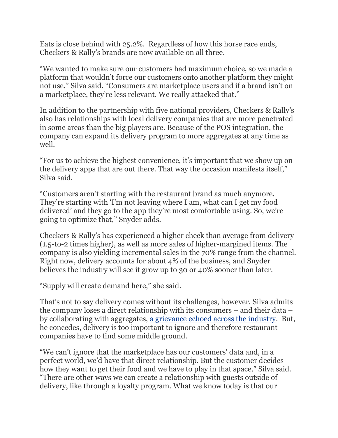Eats is close behind with 25.2%. Regardless of how this horse race ends, Checkers & Rally's brands are now available on all three.

"We wanted to make sure our customers had maximum choice, so we made a platform that wouldn't force our customers onto another platform they might not use," Silva said. "Consumers are marketplace users and if a brand isn't on a marketplace, they're less relevant. We really attacked that."

In addition to the partnership with five national providers, Checkers & Rally's also has relationships with local delivery companies that are more penetrated in some areas than the big players are. Because of the POS integration, the company can expand its delivery program to more aggregates at any time as well.

"For us to achieve the highest convenience, it's important that we show up on the delivery apps that are out there. That way the occasion manifests itself," Silva said.

"Customers aren't starting with the restaurant brand as much anymore. They're starting with 'I'm not leaving where I am, what can I get my food delivered' and they go to the app they're most comfortable using. So, we're going to optimize that," Snyder adds.

Checkers & Rally's has experienced a higher check than average from delivery (1.5-to-2 times higher), as well as more sales of higher-margined items. The company is also yielding incremental sales in the 70% range from the channel. Right now, delivery accounts for about 4% of the business, and Snyder believes the industry will see it grow up to 30 or 40% sooner than later.

"Supply will create demand here," she said.

That's not to say delivery comes without its challenges, however. Silva admits the company loses a direct relationship with its consumers – and their data – by collaborating with aggregates, a grievance [echoed across the industry.](https://www.restaurantdive.com/news/delivery-dilemma-are-in-house-innovations-or-third-party-aggregates-best/546840/) But, he concedes, delivery is too important to ignore and therefore restaurant companies have to find some middle ground.

"We can't ignore that the marketplace has our customers' data and, in a perfect world, we'd have that direct relationship. But the customer decides how they want to get their food and we have to play in that space," Silva said. "There are other ways we can create a relationship with guests outside of delivery, like through a loyalty program. What we know today is that our